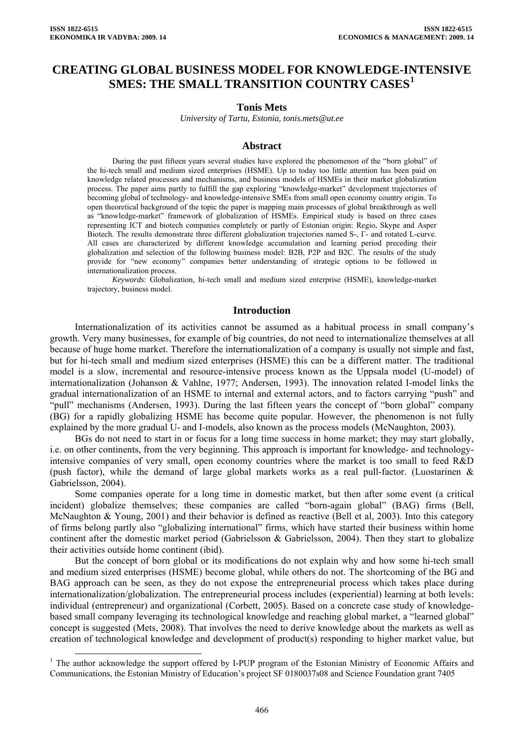# **CREATING GLOBAL BUSINESS MODEL FOR KNOWLEDGE-INTENSIVE SMES: THE SMALL TRANSITION COUNTRY CASES[1](#page-0-0)**

#### **Tonis Mets**

*University of Tartu, Estonia, tonis.mets@ut.ee* 

#### **Abstract**

During the past fifteen years several studies have explored the phenomenon of the "born global" of the hi-tech small and medium sized enterprises (HSME). Up to today too little attention has been paid on knowledge related processes and mechanisms, and business models of HSMEs in their market globalization process. The paper aims partly to fulfill the gap exploring "knowledge-market" development trajectories of becoming global of technology- and knowledge-intensive SMEs from small open economy country origin. To open theoretical background of the topic the paper is mapping main processes of global breakthrough as well as "knowledge-market" framework of globalization of HSMEs. Empirical study is based on three cases representing ICT and biotech companies completely or partly of Estonian origin: Regio, Skype and Asper Biotech. The results demonstrate three different globalization trajectories named S-, Γ- and rotated L-curve. All cases are characterized by different knowledge accumulation and learning period preceding their globalization and selection of the following business model: B2B, P2P and B2C. The results of the study provide for "new economy" companies better understanding of strategic options to be followed in internationalization process.

*Keywords*: Globalization, hi-tech small and medium sized enterprise (HSME), knowledge-market trajectory, business model.

### **Introduction**

Internationalization of its activities cannot be assumed as a habitual process in small company's growth. Very many businesses, for example of big countries, do not need to internationalize themselves at all because of huge home market. Therefore the internationalization of a company is usually not simple and fast, but for hi-tech small and medium sized enterprises (HSME) this can be a different matter. The traditional model is a slow, incremental and resource-intensive process known as the Uppsala model (U-model) of internationalization (Johanson & Vahlne, 1977; Andersen, 1993). The innovation related I-model links the gradual internationalization of an HSME to internal and external actors, and to factors carrying "push" and "pull" mechanisms (Andersen, 1993). During the last fifteen years the concept of "born global" company (BG) for a rapidly globalizing HSME has become quite popular. However, the phenomenon is not fully explained by the more gradual U- and I-models, also known as the process models (McNaughton, 2003).

BGs do not need to start in or focus for a long time success in home market; they may start globally, i.e. on other continents, from the very beginning. This approach is important for knowledge- and technologyintensive companies of very small, open economy countries where the market is too small to feed R&D (push factor), while the demand of large global markets works as a real pull-factor. (Luostarinen & Gabrielsson, 2004).

Some companies operate for a long time in domestic market, but then after some event (a critical incident) globalize themselves; these companies are called "born-again global" (BAG) firms (Bell, McNaughton & Young, 2001) and their behavior is defined as reactive (Bell et al, 2003). Into this category of firms belong partly also "globalizing international" firms, which have started their business within home continent after the domestic market period (Gabrielsson & Gabrielsson, 2004). Then they start to globalize their activities outside home continent (ibid).

But the concept of born global or its modifications do not explain why and how some hi-tech small and medium sized enterprises (HSME) become global, while others do not. The shortcoming of the BG and BAG approach can be seen, as they do not expose the entrepreneurial process which takes place during internationalization/globalization. The entrepreneurial process includes (experiential) learning at both levels: individual (entrepreneur) and organizational (Corbett, 2005). Based on a concrete case study of knowledgebased small company leveraging its technological knowledge and reaching global market, a "learned global" concept is suggested (Mets, 2008). That involves the need to derive knowledge about the markets as well as creation of technological knowledge and development of product(s) responding to higher market value, but

<span id="page-0-0"></span><sup>&</sup>lt;sup>1</sup> The author acknowledge the support offered by I-PUP program of the Estonian Ministry of Economic Affairs and Communications, the Estonian Ministry of Education's project SF 0180037s08 and Science Foundation grant 7405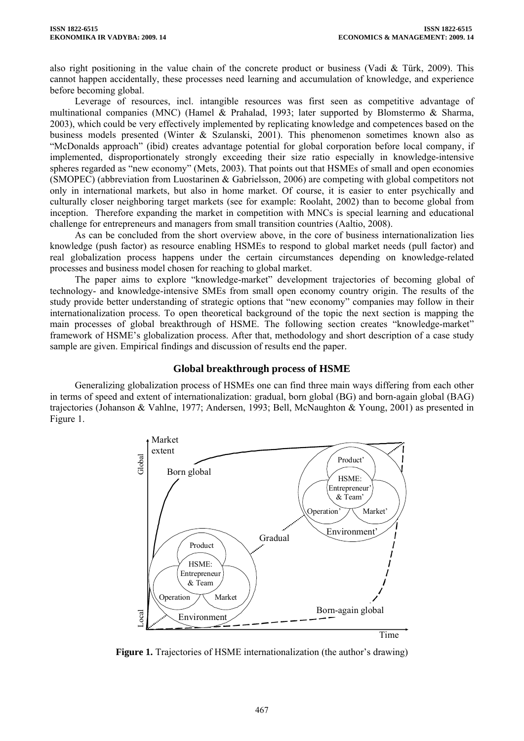also right positioning in the value chain of the concrete product or business (Vadi & Türk, 2009). This cannot happen accidentally, these processes need learning and accumulation of knowledge, and experience before becoming global.

Leverage of resources, incl. intangible resources was first seen as competitive advantage of multinational companies (MNC) (Hamel & Prahalad, 1993; later supported by Blomstermo & Sharma, 2003), which could be very effectively implemented by replicating knowledge and competences based on the business models presented (Winter & Szulanski, 2001). This phenomenon sometimes known also as "McDonalds approach" (ibid) creates advantage potential for global corporation before local company, if implemented, disproportionately strongly exceeding their size ratio especially in knowledge-intensive spheres regarded as "new economy" (Mets, 2003). That points out that HSMEs of small and open economies (SMOPEC) (abbreviation from Luostarinen & Gabrielsson, 2006) are competing with global competitors not only in international markets, but also in home market. Of course, it is easier to enter psychically and culturally closer neighboring target markets (see for example: Roolaht, 2002) than to become global from inception. Therefore expanding the market in competition with MNCs is special learning and educational challenge for entrepreneurs and managers from small transition countries (Aaltio, 2008).

As can be concluded from the short overview above, in the core of business internationalization lies knowledge (push factor) as resource enabling HSMEs to respond to global market needs (pull factor) and real globalization process happens under the certain circumstances depending on knowledge-related processes and business model chosen for reaching to global market.

The paper aims to explore "knowledge-market" development trajectories of becoming global of technology- and knowledge-intensive SMEs from small open economy country origin. The results of the study provide better understanding of strategic options that "new economy" companies may follow in their internationalization process. To open theoretical background of the topic the next section is mapping the main processes of global breakthrough of HSME. The following section creates "knowledge-market" framework of HSME's globalization process. After that, methodology and short description of a case study sample are given. Empirical findings and discussion of results end the paper.

### **Global breakthrough process of HSME**

Generalizing globalization process of HSMEs one can find three main ways differing from each other in terms of speed and extent of internationalization: gradual, born global (BG) and born-again global (BAG) trajectories (Johanson & Vahlne, 1977; Andersen, 1993; Bell, McNaughton & Young, 2001) as presented in Figure 1.



**Figure 1.** Trajectories of HSME internationalization (the author's drawing)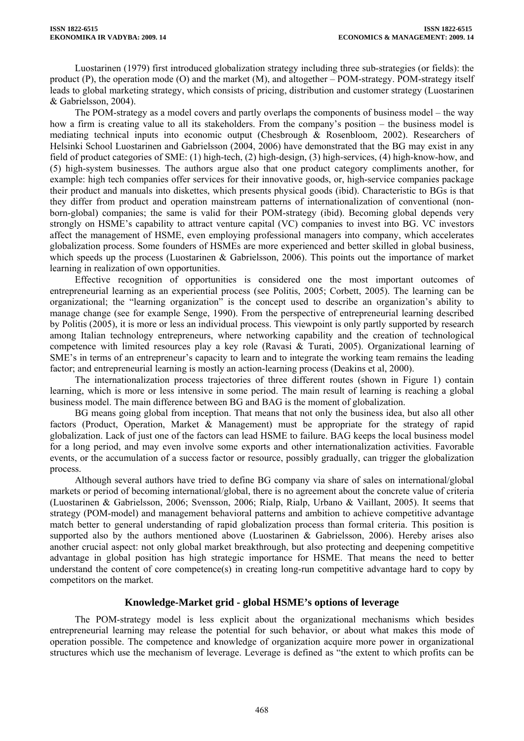Luostarinen (1979) first introduced globalization strategy including three sub-strategies (or fields): the product (P), the operation mode (O) and the market (M), and altogether – POM-strategy. POM-strategy itself leads to global marketing strategy, which consists of pricing, distribution and customer strategy (Luostarinen & Gabrielsson, 2004).

The POM-strategy as a model covers and partly overlaps the components of business model – the way how a firm is creating value to all its stakeholders. From the company's position – the business model is mediating technical inputs into economic output (Chesbrough & Rosenbloom, 2002). Researchers of Helsinki School Luostarinen and Gabrielsson (2004, 2006) have demonstrated that the BG may exist in any field of product categories of SME: (1) high-tech, (2) high-design, (3) high-services, (4) high-know-how, and (5) high-system businesses. The authors argue also that one product category compliments another, for example: high tech companies offer services for their innovative goods, or, high-service companies package their product and manuals into diskettes, which presents physical goods (ibid). Characteristic to BGs is that they differ from product and operation mainstream patterns of internationalization of conventional (nonborn-global) companies; the same is valid for their POM-strategy (ibid). Becoming global depends very strongly on HSME's capability to attract venture capital (VC) companies to invest into BG. VC investors affect the management of HSME, even employing professional managers into company, which accelerates globalization process. Some founders of HSMEs are more experienced and better skilled in global business, which speeds up the process (Luostarinen & Gabrielsson, 2006). This points out the importance of market learning in realization of own opportunities.

Effective recognition of opportunities is considered one the most important outcomes of entrepreneurial learning as an experiential process (see Politis, 2005; Corbett, 2005). The learning can be organizational; the "learning organization" is the concept used to describe an organization's ability to manage change (see for example Senge, 1990). From the perspective of entrepreneurial learning described by Politis (2005), it is more or less an individual process. This viewpoint is only partly supported by research among Italian technology entrepreneurs, where networking capability and the creation of technological competence with limited resources play a key role (Ravasi & Turati, 2005). Organizational learning of SME's in terms of an entrepreneur's capacity to learn and to integrate the working team remains the leading factor; and entrepreneurial learning is mostly an action-learning process (Deakins et al, 2000).

The internationalization process trajectories of three different routes (shown in Figure 1) contain learning, which is more or less intensive in some period. The main result of learning is reaching a global business model. The main difference between BG and BAG is the moment of globalization.

BG means going global from inception. That means that not only the business idea, but also all other factors (Product, Operation, Market & Management) must be appropriate for the strategy of rapid globalization. Lack of just one of the factors can lead HSME to failure. BAG keeps the local business model for a long period, and may even involve some exports and other internationalization activities. Favorable events, or the accumulation of a success factor or resource, possibly gradually, can trigger the globalization process.

Although several authors have tried to define BG company via share of sales on international/global markets or period of becoming international/global, there is no agreement about the concrete value of criteria (Luostarinen & Gabrielsson, 2006; Svensson, 2006; Rialp, Rialp, Urbano & Vaillant, 2005). It seems that strategy (POM-model) and management behavioral patterns and ambition to achieve competitive advantage match better to general understanding of rapid globalization process than formal criteria. This position is supported also by the authors mentioned above (Luostarinen & Gabrielsson, 2006). Hereby arises also another crucial aspect: not only global market breakthrough, but also protecting and deepening competitive advantage in global position has high strategic importance for HSME. That means the need to better understand the content of core competence(s) in creating long-run competitive advantage hard to copy by competitors on the market.

## **Knowledge-Market grid - global HSME's options of leverage**

The POM-strategy model is less explicit about the organizational mechanisms which besides entrepreneurial learning may release the potential for such behavior, or about what makes this mode of operation possible. The competence and knowledge of organization acquire more power in organizational structures which use the mechanism of leverage. Leverage is defined as "the extent to which profits can be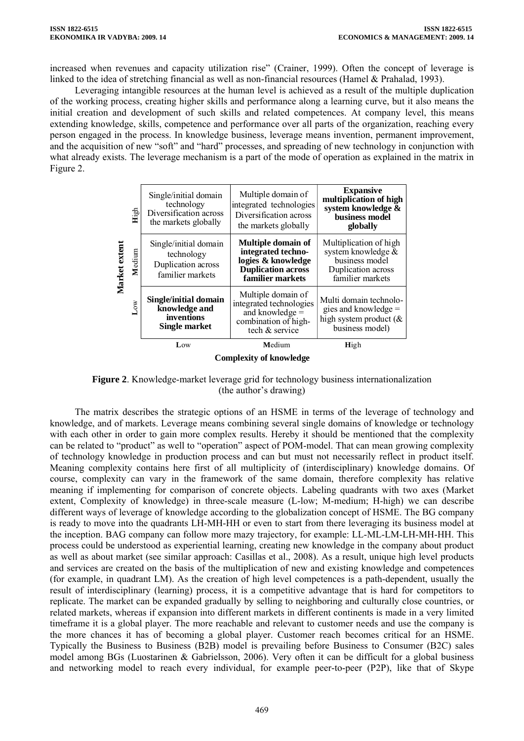increased when revenues and capacity utilization rise" (Crainer, 1999). Often the concept of leverage is linked to the idea of stretching financial as well as non-financial resources (Hamel & Prahalad, 1993).

Leveraging intangible resources at the human level is achieved as a result of the multiple duplication of the working process, creating higher skills and performance along a learning curve, but it also means the initial creation and development of such skills and related competences. At company level, this means extending knowledge, skills, competence and performance over all parts of the organization, reaching every person engaged in the process. In knowledge business, leverage means invention, permanent improvement, and the acquisition of new "soft" and "hard" processes, and spreading of new technology in conjunction with what already exists. The leverage mechanism is a part of the mode of operation as explained in the matrix in Figure 2.

| Market extent | High         | Single/initial domain<br>technology<br>Diversification across<br>the markets globally | Multiple domain of<br>integrated technologies<br>Diversification across<br>the markets globally                 | <b>Expansive</b><br>multiplication of high<br>system knowledge $\bar{\mathbf{\alpha}}$<br>business model<br>globally |
|---------------|--------------|---------------------------------------------------------------------------------------|-----------------------------------------------------------------------------------------------------------------|----------------------------------------------------------------------------------------------------------------------|
|               | Medium       | Single/initial domain<br>technology<br>Duplication across<br>familier markets         | Multiple domain of<br>integrated techno-<br>logies & knowledge<br><b>Duplication across</b><br>familier markets | Multiplication of high<br>system knowledge $\&$<br>business model<br>Duplication across<br>familier markets          |
|               | $_{\rm Low}$ | Single/initial domain<br>knowledge and<br>inventions<br>Single market                 | Multiple domain of<br>integrated technologies<br>and knowledge $=$<br>combination of high-<br>tech & service    | Multi domain technolo-<br>gies and knowledge $=$<br>high system product $(\&$<br>business model)                     |
|               |              | Low                                                                                   | Medium                                                                                                          | High                                                                                                                 |

**Complexity of knowledge**

**Figure 2**. Knowledge-market leverage grid for technology business internationalization (the author's drawing)

The matrix describes the strategic options of an HSME in terms of the leverage of technology and knowledge, and of markets. Leverage means combining several single domains of knowledge or technology with each other in order to gain more complex results. Hereby it should be mentioned that the complexity can be related to "product" as well to "operation" aspect of POM-model. That can mean growing complexity of technology knowledge in production process and can but must not necessarily reflect in product itself. Meaning complexity contains here first of all multiplicity of (interdisciplinary) knowledge domains. Of course, complexity can vary in the framework of the same domain, therefore complexity has relative meaning if implementing for comparison of concrete objects. Labeling quadrants with two axes (Market extent, Complexity of knowledge) in three-scale measure (L-low; M-medium; H-high) we can describe different ways of leverage of knowledge according to the globalization concept of HSME. The BG company is ready to move into the quadrants LH-MH-HH or even to start from there leveraging its business model at the inception. BAG company can follow more mazy trajectory, for example: LL-ML-LM-LH-MH-HH. This process could be understood as experiential learning, creating new knowledge in the company about product as well as about market (see similar approach: Casillas et al., 2008). As a result, unique high level products and services are created on the basis of the multiplication of new and existing knowledge and competences (for example, in quadrant LM). As the creation of high level competences is a path-dependent, usually the result of interdisciplinary (learning) process, it is a competitive advantage that is hard for competitors to replicate. The market can be expanded gradually by selling to neighboring and culturally close countries, or related markets, whereas if expansion into different markets in different continents is made in a very limited timeframe it is a global player. The more reachable and relevant to customer needs and use the company is the more chances it has of becoming a global player. Customer reach becomes critical for an HSME. Typically the Business to Business (B2B) model is prevailing before Business to Consumer (B2C) sales model among BGs (Luostarinen & Gabrielsson, 2006). Very often it can be difficult for a global business and networking model to reach every individual, for example peer-to-peer (P2P), like that of Skype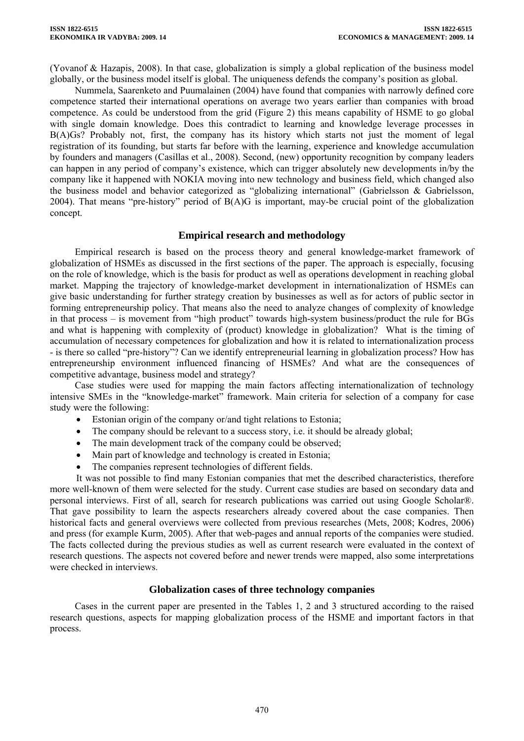(Yovanof & Hazapis, 2008). In that case, globalization is simply a global replication of the business model globally, or the business model itself is global. The uniqueness defends the company's position as global.

Nummela, Saarenketo and Puumalainen (2004) have found that companies with narrowly defined core competence started their international operations on average two years earlier than companies with broad competence. As could be understood from the grid (Figure 2) this means capability of HSME to go global with single domain knowledge. Does this contradict to learning and knowledge leverage processes in B(A)Gs? Probably not, first, the company has its history which starts not just the moment of legal registration of its founding, but starts far before with the learning, experience and knowledge accumulation by founders and managers (Casillas et al., 2008). Second, (new) opportunity recognition by company leaders can happen in any period of company's existence, which can trigger absolutely new developments in/by the company like it happened with NOKIA moving into new technology and business field, which changed also the business model and behavior categorized as "globalizing international" (Gabrielsson & Gabrielsson, 2004). That means "pre-history" period of B(A)G is important, may-be crucial point of the globalization concept.

## **Empirical research and methodology**

Empirical research is based on the process theory and general knowledge-market framework of globalization of HSMEs as discussed in the first sections of the paper. The approach is especially, focusing on the role of knowledge, which is the basis for product as well as operations development in reaching global market. Mapping the trajectory of knowledge-market development in internationalization of HSMEs can give basic understanding for further strategy creation by businesses as well as for actors of public sector in forming entrepreneurship policy. That means also the need to analyze changes of complexity of knowledge in that process – is movement from "high product" towards high-system business/product the rule for BGs and what is happening with complexity of (product) knowledge in globalization? What is the timing of accumulation of necessary competences for globalization and how it is related to internationalization process - is there so called "pre-history"? Can we identify entrepreneurial learning in globalization process? How has entrepreneurship environment influenced financing of HSMEs? And what are the consequences of competitive advantage, business model and strategy?

Case studies were used for mapping the main factors affecting internationalization of technology intensive SMEs in the "knowledge-market" framework. Main criteria for selection of a company for case study were the following:

- Estonian origin of the company or/and tight relations to Estonia;
- The company should be relevant to a success story, i.e. it should be already global;
- The main development track of the company could be observed;
- Main part of knowledge and technology is created in Estonia;
- The companies represent technologies of different fields.

It was not possible to find many Estonian companies that met the described characteristics, therefore more well-known of them were selected for the study. Current case studies are based on secondary data and personal interviews. First of all, search for research publications was carried out using Google Scholar®. That gave possibility to learn the aspects researchers already covered about the case companies. Then historical facts and general overviews were collected from previous researches (Mets, 2008; Kodres, 2006) and press (for example Kurm, 2005). After that web-pages and annual reports of the companies were studied. The facts collected during the previous studies as well as current research were evaluated in the context of research questions. The aspects not covered before and newer trends were mapped, also some interpretations were checked in interviews.

### **Globalization cases of three technology companies**

Cases in the current paper are presented in the Tables 1, 2 and 3 structured according to the raised research questions, aspects for mapping globalization process of the HSME and important factors in that process.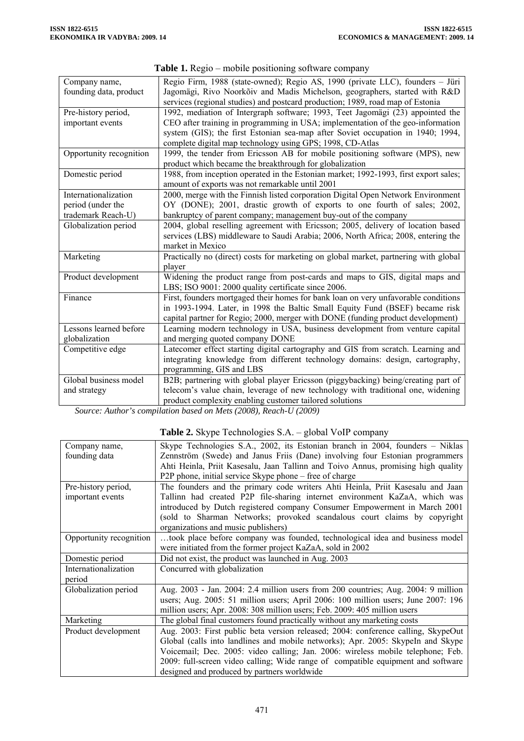| Company name,           | Regio Firm, 1988 (state-owned); Regio AS, 1990 (private LLC), founders - Jüri        |  |
|-------------------------|--------------------------------------------------------------------------------------|--|
| founding data, product  | Jagomägi, Rivo Noorkõiv and Madis Michelson, geographers, started with R&D           |  |
|                         | services (regional studies) and postcard production; 1989, road map of Estonia       |  |
| Pre-history period,     | 1992, mediation of Intergraph software; 1993, Teet Jagomägi (23) appointed the       |  |
| important events        | CEO after training in programming in USA; implementation of the geo-information      |  |
|                         | system (GIS); the first Estonian sea-map after Soviet occupation in 1940; 1994,      |  |
|                         | complete digital map technology using GPS; 1998, CD-Atlas                            |  |
| Opportunity recognition | 1999, the tender from Ericsson AB for mobile positioning software (MPS), new         |  |
|                         | product which became the breakthrough for globalization                              |  |
| Domestic period         | 1988, from inception operated in the Estonian market; 1992-1993, first export sales; |  |
|                         | amount of exports was not remarkable until 2001                                      |  |
| Internationalization    | 2000, merge with the Finnish listed corporation Digital Open Network Environment     |  |
| period (under the       | OY (DONE); 2001, drastic growth of exports to one fourth of sales; 2002,             |  |
| trademark Reach-U)      | bankruptcy of parent company; management buy-out of the company                      |  |
| Globalization period    | 2004, global reselling agreement with Ericsson; 2005, delivery of location based     |  |
|                         | services (LBS) middleware to Saudi Arabia; 2006, North Africa; 2008, entering the    |  |
|                         | market in Mexico                                                                     |  |
| Marketing               | Practically no (direct) costs for marketing on global market, partnering with global |  |
|                         | player                                                                               |  |
| Product development     | Widening the product range from post-cards and maps to GIS, digital maps and         |  |
|                         | LBS; ISO 9001: 2000 quality certificate since 2006.                                  |  |
| Finance                 | First, founders mortgaged their homes for bank loan on very unfavorable conditions   |  |
|                         | in 1993-1994. Later, in 1998 the Baltic Small Equity Fund (BSEF) became risk         |  |
|                         | capital partner for Regio; 2000, merger with DONE (funding product development)      |  |
| Lessons learned before  | Learning modern technology in USA, business development from venture capital         |  |
| globalization           | and merging quoted company DONE                                                      |  |
| Competitive edge        | Latecomer effect starting digital cartography and GIS from scratch. Learning and     |  |
|                         | integrating knowledge from different technology domains: design, cartography,        |  |
|                         | programming, GIS and LBS                                                             |  |
| Global business model   | B2B; partnering with global player Ericsson (piggybacking) being/creating part of    |  |
| and strategy            | telecom's value chain, leverage of new technology with traditional one, widening     |  |
|                         | product complexity enabling customer tailored solutions                              |  |

| <b>Table 1.</b> Regio – mobile positioning software company |  |  |
|-------------------------------------------------------------|--|--|
|                                                             |  |  |

*Source: Author's compilation based on Mets (2008), Reach-U (2009)*

| <b>Table 2.</b> Skype Technologies S.A. – global VoIP company |  |  |
|---------------------------------------------------------------|--|--|
|                                                               |  |  |

| Company name,           | Skype Technologies S.A., 2002, its Estonian branch in 2004, founders – Niklas     |
|-------------------------|-----------------------------------------------------------------------------------|
| founding data           | Zennström (Swede) and Janus Friis (Dane) involving four Estonian programmers      |
|                         | Ahti Heinla, Priit Kasesalu, Jaan Tallinn and Toivo Annus, promising high quality |
|                         | P2P phone, initial service Skype phone – free of charge                           |
| Pre-history period,     | The founders and the primary code writers Ahti Heinla, Priit Kasesalu and Jaan    |
| important events        | Tallinn had created P2P file-sharing internet environment KaZaA, which was        |
|                         | introduced by Dutch registered company Consumer Empowerment in March 2001         |
|                         | (sold to Sharman Networks; provoked scandalous court claims by copyright          |
|                         | organizations and music publishers)                                               |
| Opportunity recognition | took place before company was founded, technological idea and business model      |
|                         | were initiated from the former project KaZaA, sold in 2002                        |
| Domestic period         | Did not exist, the product was launched in Aug. 2003                              |
| Internationalization    | Concurred with globalization                                                      |
| period                  |                                                                                   |
| Globalization period    | Aug. 2003 - Jan. 2004: 2.4 million users from 200 countries; Aug. 2004: 9 million |
|                         | users; Aug. 2005: 51 million users; April 2006: 100 million users; June 2007: 196 |
|                         | million users; Apr. 2008: 308 million users; Feb. 2009: 405 million users         |
| Marketing               | The global final customers found practically without any marketing costs          |
| Product development     | Aug. 2003: First public beta version released; 2004: conference calling, SkypeOut |
|                         | Global (calls into landlines and mobile networks); Apr. 2005: SkypeIn and Skype   |
|                         | Voicemail; Dec. 2005: video calling; Jan. 2006: wireless mobile telephone; Feb.   |
|                         | 2009: full-screen video calling; Wide range of compatible equipment and software  |
|                         | designed and produced by partners worldwide                                       |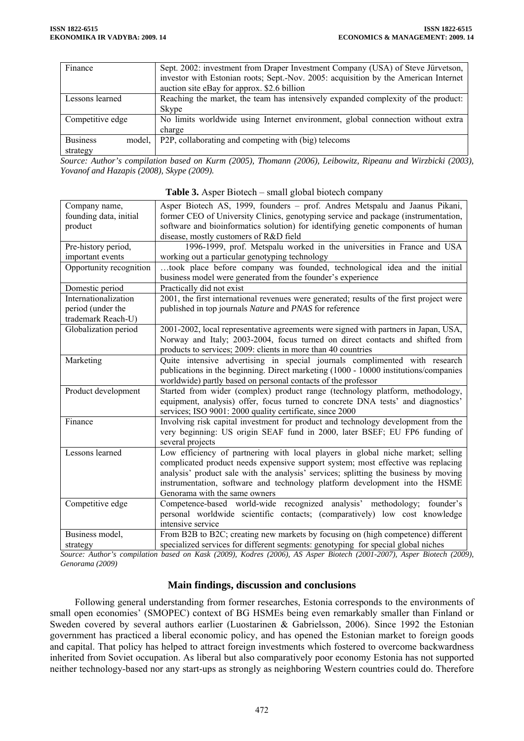| Finance                   | Sept. 2002: investment from Draper Investment Company (USA) of Steve Jürvetson,     |  |
|---------------------------|-------------------------------------------------------------------------------------|--|
|                           | investor with Estonian roots; Sept.-Nov. 2005: acquisition by the American Internet |  |
|                           | auction site eBay for approx. \$2.6 billion                                         |  |
| Lessons learned           | Reaching the market, the team has intensively expanded complexity of the product:   |  |
|                           | <b>Skype</b>                                                                        |  |
| Competitive edge          | No limits worldwide using Internet environment, global connection without extra     |  |
|                           | charge                                                                              |  |
| <b>Business</b><br>model. | P2P, collaborating and competing with (big) telecoms                                |  |
| strategy                  |                                                                                     |  |

*Source: Author's compilation based on Kurm (2005), Thomann (2006), Leibowitz, Ripeanu and Wirzbicki (2003), Yovanof and Hazapis (2008), Skype (2009).* 

| Company name,           | Asper Biotech AS, 1999, founders - prof. Andres Metspalu and Jaanus Pikani,              |
|-------------------------|------------------------------------------------------------------------------------------|
| founding data, initial  | former CEO of University Clinics, genotyping service and package (instrumentation,       |
| product                 | software and bioinformatics solution) for identifying genetic components of human        |
|                         | disease, mostly customers of R&D field                                                   |
| Pre-history period,     | 1996-1999, prof. Metspalu worked in the universities in France and USA                   |
| important events        | working out a particular genotyping technology                                           |
| Opportunity recognition | took place before company was founded, technological idea and the initial                |
|                         | business model were generated from the founder's experience                              |
| Domestic period         | Practically did not exist                                                                |
| Internationalization    | 2001, the first international revenues were generated; results of the first project were |
| period (under the       | published in top journals Nature and PNAS for reference                                  |
| trademark Reach-U)      |                                                                                          |
| Globalization period    | 2001-2002, local representative agreements were signed with partners in Japan, USA,      |
|                         | Norway and Italy; 2003-2004, focus turned on direct contacts and shifted from            |
|                         | products to services; 2009: clients in more than 40 countries                            |
| Marketing               | Quite intensive advertising in special journals complimented with research               |
|                         | publications in the beginning. Direct marketing (1000 - 10000 institutions/companies     |
|                         | worldwide) partly based on personal contacts of the professor                            |
| Product development     | Started from wider (complex) product range (technology platform, methodology,            |
|                         | equipment, analysis) offer, focus turned to concrete DNA tests' and diagnostics'         |
|                         | services; ISO 9001: 2000 quality certificate, since 2000                                 |
| Finance                 | Involving risk capital investment for product and technology development from the        |
|                         | very beginning: US origin SEAF fund in 2000, later BSEF; EU FP6 funding of               |
|                         | several projects                                                                         |
| Lessons learned         | Low efficiency of partnering with local players in global niche market; selling          |
|                         | complicated product needs expensive support system; most effective was replacing         |
|                         | analysis' product sale with the analysis' services; splitting the business by moving     |
|                         | instrumentation, software and technology platform development into the HSME              |
|                         | Genorama with the same owners                                                            |
| Competitive edge        | Competence-based world-wide recognized analysis' methodology; founder's                  |
|                         | personal worldwide scientific contacts; (comparatively) low cost knowledge               |
|                         | intensive service                                                                        |
| Business model,         | From B2B to B2C; creating new markets by focusing on (high competence) different         |
| strategy                | specialized services for different segments: genotyping for special global niches        |

### **Table 3.** Asper Biotech – small global biotech company

*Source: Author's compilation based on Kask (2009), Kodres (2006), AS Asper Biotech (2001-2007), Asper Biotech (2009), Genorama (2009)*

### **Main findings, discussion and conclusions**

Following general understanding from former researches, Estonia corresponds to the environments of small open economies' (SMOPEC) context of BG HSMEs being even remarkably smaller than Finland or Sweden covered by several authors earlier (Luostarinen & Gabrielsson, 2006). Since 1992 the Estonian government has practiced a liberal economic policy, and has opened the Estonian market to foreign goods and capital. That policy has helped to attract foreign investments which fostered to overcome backwardness inherited from Soviet occupation. As liberal but also comparatively poor economy Estonia has not supported neither technology-based nor any start-ups as strongly as neighboring Western countries could do. Therefore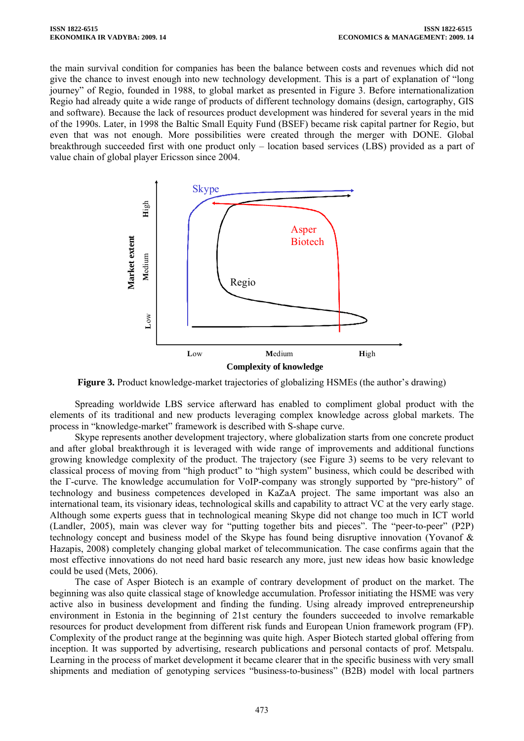the main survival condition for companies has been the balance between costs and revenues which did not give the chance to invest enough into new technology development. This is a part of explanation of "long journey" of Regio, founded in 1988, to global market as presented in Figure 3. Before internationalization Regio had already quite a wide range of products of different technology domains (design, cartography, GIS and software). Because the lack of resources product development was hindered for several years in the mid of the 1990s. Later, in 1998 the Baltic Small Equity Fund (BSEF) became risk capital partner for Regio, but even that was not enough. More possibilities were created through the merger with DONE. Global breakthrough succeeded first with one product only – location based services (LBS) provided as a part of value chain of global player Ericsson since 2004.



**Figure 3.** Product knowledge-market trajectories of globalizing HSMEs (the author's drawing)

Spreading worldwide LBS service afterward has enabled to compliment global product with the elements of its traditional and new products leveraging complex knowledge across global markets. The process in "knowledge-market" framework is described with S-shape curve.

Skype represents another development trajectory, where globalization starts from one concrete product and after global breakthrough it is leveraged with wide range of improvements and additional functions growing knowledge complexity of the product. The trajectory (see Figure 3) seems to be very relevant to classical process of moving from "high product" to "high system" business, which could be described with the Γ-curve. The knowledge accumulation for VoIP-company was strongly supported by "pre-history" of technology and business competences developed in KaZaA project. The same important was also an international team, its visionary ideas, technological skills and capability to attract VC at the very early stage. Although some experts guess that in technological meaning Skype did not change too much in ICT world (Landler, 2005), main was clever way for "putting together bits and pieces". The "peer-to-peer" (P2P) technology concept and business model of the Skype has found being disruptive innovation (Yovanof & Hazapis, 2008) completely changing global market of telecommunication. The case confirms again that the most effective innovations do not need hard basic research any more, just new ideas how basic knowledge could be used (Mets, 2006).

The case of Asper Biotech is an example of contrary development of product on the market. The beginning was also quite classical stage of knowledge accumulation. Professor initiating the HSME was very active also in business development and finding the funding. Using already improved entrepreneurship environment in Estonia in the beginning of 21st century the founders succeeded to involve remarkable resources for product development from different risk funds and European Union framework program (FP). Complexity of the product range at the beginning was quite high. Asper Biotech started global offering from inception. It was supported by advertising, research publications and personal contacts of prof. Metspalu. Learning in the process of market development it became clearer that in the specific business with very small shipments and mediation of genotyping services "business-to-business" (B2B) model with local partners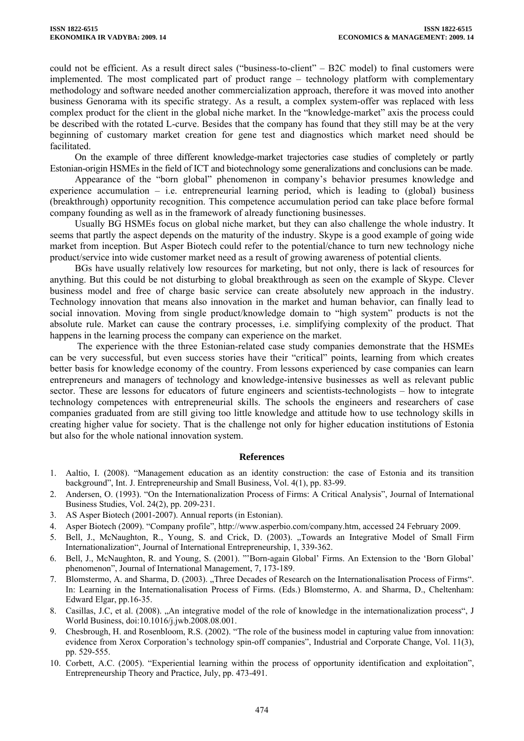could not be efficient. As a result direct sales ("business-to-client" – B2C model) to final customers were implemented. The most complicated part of product range – technology platform with complementary methodology and software needed another commercialization approach, therefore it was moved into another business Genorama with its specific strategy. As a result, a complex system-offer was replaced with less complex product for the client in the global niche market. In the "knowledge-market" axis the process could be described with the rotated L-curve. Besides that the company has found that they still may be at the very beginning of customary market creation for gene test and diagnostics which market need should be facilitated.

On the example of three different knowledge-market trajectories case studies of completely or partly Estonian-origin HSMEs in the field of ICT and biotechnology some generalizations and conclusions can be made.

Appearance of the "born global" phenomenon in company's behavior presumes knowledge and experience accumulation  $-$  i.e. entrepreneurial learning period, which is leading to (global) business (breakthrough) opportunity recognition. This competence accumulation period can take place before formal company founding as well as in the framework of already functioning businesses.

Usually BG HSMEs focus on global niche market, but they can also challenge the whole industry. It seems that partly the aspect depends on the maturity of the industry. Skype is a good example of going wide market from inception. But Asper Biotech could refer to the potential/chance to turn new technology niche product/service into wide customer market need as a result of growing awareness of potential clients.

BGs have usually relatively low resources for marketing, but not only, there is lack of resources for anything. But this could be not disturbing to global breakthrough as seen on the example of Skype. Clever business model and free of charge basic service can create absolutely new approach in the industry. Technology innovation that means also innovation in the market and human behavior, can finally lead to social innovation. Moving from single product/knowledge domain to "high system" products is not the absolute rule. Market can cause the contrary processes, i.e. simplifying complexity of the product. That happens in the learning process the company can experience on the market.

 The experience with the three Estonian-related case study companies demonstrate that the HSMEs can be very successful, but even success stories have their "critical" points, learning from which creates better basis for knowledge economy of the country. From lessons experienced by case companies can learn entrepreneurs and managers of technology and knowledge-intensive businesses as well as relevant public sector. These are lessons for educators of future engineers and scientists-technologists – how to integrate technology competences with entrepreneurial skills. The schools the engineers and researchers of case companies graduated from are still giving too little knowledge and attitude how to use technology skills in creating higher value for society. That is the challenge not only for higher education institutions of Estonia but also for the whole national innovation system.

### **References**

- 1. Aaltio, I. (2008). "Management education as an identity construction: the case of Estonia and its transition background", Int. J. Entrepreneurship and Small Business, Vol. 4(1), pp. 83-99.
- 2. Andersen, O. (1993). "On the Internationalization Process of Firms: A Critical Analysis", Journal of International Business Studies, Vol. 24(2), pp. 209-231.
- 3. AS Asper Biotech (2001-2007). Annual reports (in Estonian).
- 4. Asper Biotech (2009). "Company profile", http://www.asperbio.com/company.htm, accessed 24 February 2009.
- 5. Bell, J., McNaughton, R., Young, S. and Crick, D. (2003). "Towards an Integrative Model of Small Firm Internationalization", Journal of International Entrepreneurship, 1, 339-362.
- 6. Bell, J., McNaughton, R. and Young, S. (2001). "'Born-again Global' Firms. An Extension to the 'Born Global' phenomenon", Journal of International Management, 7, 173-189.
- 7. Blomstermo, A. and Sharma, D. (2003). "Three Decades of Research on the Internationalisation Process of Firms". In: Learning in the Internationalisation Process of Firms. (Eds.) Blomstermo, A. and Sharma, D., Cheltenham: Edward Elgar, pp.16-35.
- 8. Casillas, J.C, et al. (2008). "An integrative model of the role of knowledge in the internationalization process", J World Business, doi:10.1016/j.jwb.2008.08.001.
- 9. Chesbrough, H. and Rosenbloom, R.S. (2002). "The role of the business model in capturing value from innovation: evidence from Xerox Corporation's technology spin-off companies", Industrial and Corporate Change, Vol. 11(3), pp. 529-555.
- 10. Corbett, A.C. (2005). "Experiential learning within the process of opportunity identification and exploitation", Entrepreneurship Theory and Practice, July, pp. 473-491.